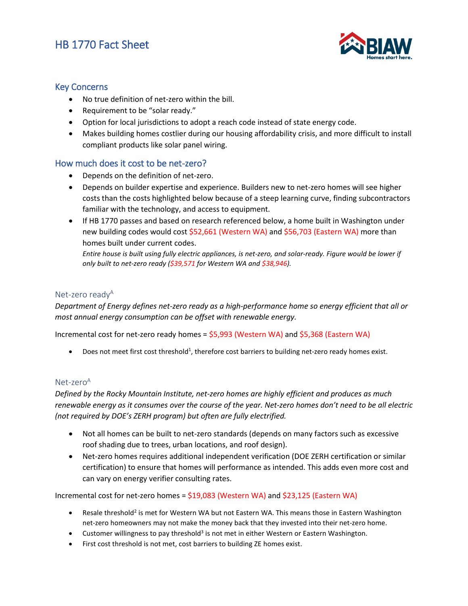## HB 1770 Fact Sheet



### Key Concerns

- No true definition of net-zero within the bill.
- Requirement to be "solar ready."
- Option for local jurisdictions to adopt a reach code instead of state energy code.
- Makes building homes costlier during our housing affordability crisis, and more difficult to install compliant products like solar panel wiring.

### How much does it cost to be net-zero?

- Depends on the definition of net-zero.
- Depends on builder expertise and experience. Builders new to net-zero homes will see higher costs than the costs highlighted below because of a steep learning curve, finding subcontractors familiar with the technology, and access to equipment.
- If HB 1770 passes and based on research referenced below, a home built in Washington under new building codes would cost \$52,661 (Western WA) and \$56,703 (Eastern WA) more than homes built under current codes.

*Entire house is built using fully electric appliances, is net-zero, and solar-ready. Figure would be lower if only built to net-zero ready (\$39,571 for Western WA and \$38,946).*

### Net-zero ready<sup>A</sup>

*Department of Energy defines net-zero ready as a high-performance home so energy efficient that all or most annual energy consumption can be offset with renewable energy.*

Incremental cost for net-zero ready homes = \$5,993 (Western WA) and \$5,368 (Eastern WA)

• Does not meet first cost threshold<sup>1</sup>, therefore cost barriers to building net-zero ready homes exist.

### Net-zero<sup>A</sup>

*Defined by the Rocky Mountain Institute, net-zero homes are highly efficient and produces as much renewable energy as it consumes over the course of the year. Net-zero homes don't need to be all electric (not required by DOE's ZERH program) but often are fully electrified.* 

- Not all homes can be built to net-zero standards (depends on many factors such as excessive roof shading due to trees, urban locations, and roof design).
- Net-zero homes requires additional independent verification (DOE ZERH certification or similar certification) to ensure that homes will performance as intended. This adds even more cost and can vary on energy verifier consulting rates.

Incremental cost for net-zero homes = \$19,083 (Western WA) and \$23,125 (Eastern WA)

- **•** Resale threshold<sup>2</sup> is met for Western WA but not Eastern WA. This means those in Eastern Washington net-zero homeowners may not make the money back that they invested into their net-zero home.
- Customer willingness to pay threshold<sup>3</sup> is not met in either Western or Eastern Washington.
- First cost threshold is not met, cost barriers to building ZE homes exist.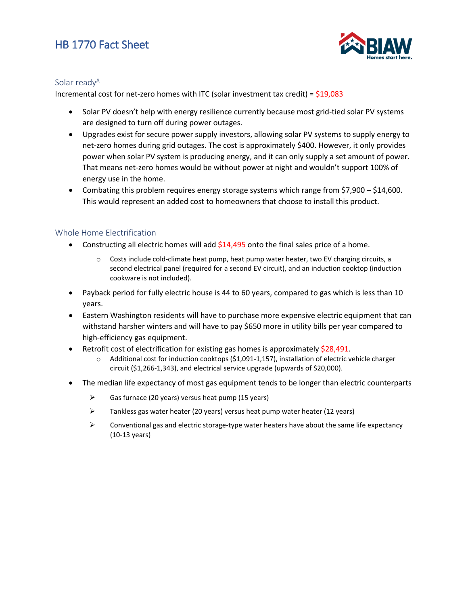# HB 1770 Fact Sheet



### Solar ready<sup>A</sup>

Incremental cost for net-zero homes with ITC (solar investment tax credit) = \$19,083

- Solar PV doesn't help with energy resilience currently because most grid-tied solar PV systems are designed to turn off during power outages.
- Upgrades exist for secure power supply investors, allowing solar PV systems to supply energy to net-zero homes during grid outages. The cost is approximately \$400. However, it only provides power when solar PV system is producing energy, and it can only supply a set amount of power. That means net-zero homes would be without power at night and wouldn't support 100% of energy use in the home.
- Combating this problem requires energy storage systems which range from  $$7,900 $14,600$ . This would represent an added cost to homeowners that choose to install this product.

#### Whole Home Electrification

- Constructing all electric homes will add \$14,495 onto the final sales price of a home.
	- o Costs include cold-climate heat pump, heat pump water heater, two EV charging circuits, a second electrical panel (required for a second EV circuit), and an induction cooktop (induction cookware is not included).
- Payback period for fully electric house is 44 to 60 years, compared to gas which is less than 10 years.
- Eastern Washington residents will have to purchase more expensive electric equipment that can withstand harsher winters and will have to pay \$650 more in utility bills per year compared to high-efficiency gas equipment.
- Retrofit cost of electrification for existing gas homes is approximately \$28,491.
	- $\circ$  Additional cost for induction cooktops (\$1,091-1,157), installation of electric vehicle charger circuit (\$1,266-1,343), and electrical service upgrade (upwards of \$20,000).
- The median life expectancy of most gas equipment tends to be longer than electric counterparts
	- $\triangleright$  Gas furnace (20 years) versus heat pump (15 years)
	- $\triangleright$  Tankless gas water heater (20 years) versus heat pump water heater (12 years)
	- $\triangleright$  Conventional gas and electric storage-type water heaters have about the same life expectancy (10-13 years)